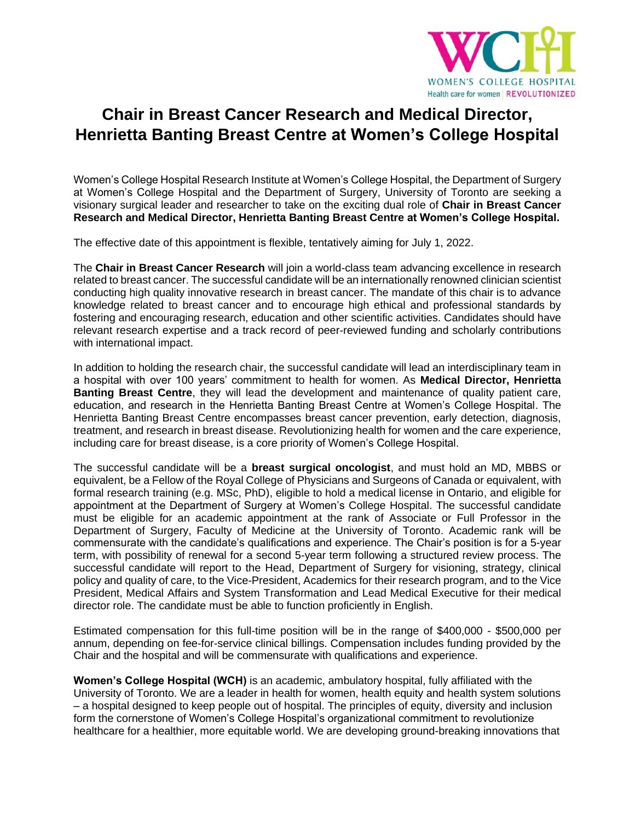

## **Chair in Breast Cancer Research and Medical Director, Henrietta Banting Breast Centre at Women's College Hospital**

Women's College Hospital Research Institute at Women's College Hospital, the Department of Surgery at Women's College Hospital and the Department of Surgery, University of Toronto are seeking a visionary surgical leader and researcher to take on the exciting dual role of **Chair in Breast Cancer Research and Medical Director, Henrietta Banting Breast Centre at Women's College Hospital.** 

The effective date of this appointment is flexible, tentatively aiming for July 1, 2022.

The **Chair in Breast Cancer Research** will join a world-class team advancing excellence in research related to breast cancer. The successful candidate will be an internationally renowned clinician scientist conducting high quality innovative research in breast cancer. The mandate of this chair is to advance knowledge related to breast cancer and to encourage high ethical and professional standards by fostering and encouraging research, education and other scientific activities. Candidates should have relevant research expertise and a track record of peer-reviewed funding and scholarly contributions with international impact.

In addition to holding the research chair, the successful candidate will lead an interdisciplinary team in a hospital with over 100 years' commitment to health for women. As **Medical Director, Henrietta Banting Breast Centre**, they will lead the development and maintenance of quality patient care, education, and research in the Henrietta Banting Breast Centre at Women's College Hospital. The Henrietta Banting Breast Centre encompasses breast cancer prevention, early detection, diagnosis, treatment, and research in breast disease. Revolutionizing health for women and the care experience, including care for breast disease, is a core priority of Women's College Hospital.

The successful candidate will be a **breast surgical oncologist**, and must hold an MD, MBBS or equivalent, be a Fellow of the Royal College of Physicians and Surgeons of Canada or equivalent, with formal research training (e.g. MSc, PhD), eligible to hold a medical license in Ontario, and eligible for appointment at the Department of Surgery at Women's College Hospital. The successful candidate must be eligible for an academic appointment at the rank of Associate or Full Professor in the Department of Surgery, Faculty of Medicine at the University of Toronto. Academic rank will be commensurate with the candidate's qualifications and experience. The Chair's position is for a 5-year term, with possibility of renewal for a second 5-year term following a structured review process. The successful candidate will report to the Head, Department of Surgery for visioning, strategy, clinical policy and quality of care, to the Vice-President, Academics for their research program, and to the Vice President, Medical Affairs and System Transformation and Lead Medical Executive for their medical director role. The candidate must be able to function proficiently in English.

Estimated compensation for this full-time position will be in the range of \$400,000 - \$500,000 per annum, depending on fee-for-service clinical billings. Compensation includes funding provided by the Chair and the hospital and will be commensurate with qualifications and experience.

**Women's College Hospital (WCH)** is an academic, ambulatory hospital, fully affiliated with the University of Toronto. We are a leader in health for women, health equity and health system solutions – a hospital designed to keep people out of hospital. The principles of equity, diversity and inclusion form the cornerstone of Women's College Hospital's organizational commitment to revolutionize healthcare for a healthier, more equitable world. We are developing ground-breaking innovations that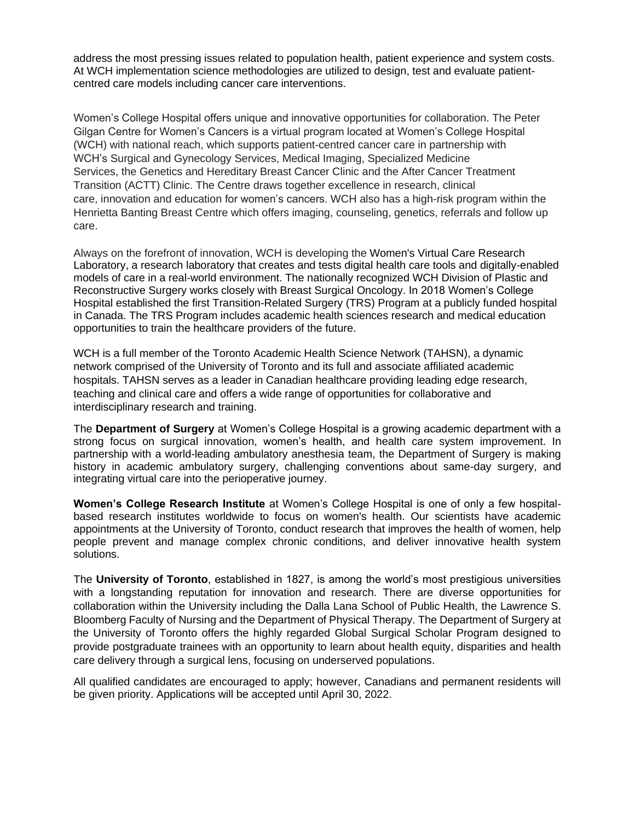address the most pressing issues related to population health, patient experience and system costs. At WCH implementation science methodologies are utilized to design, test and evaluate patientcentred care models including cancer care interventions.

Women's College Hospital offers unique and innovative opportunities for collaboration. The Peter Gilgan Centre for Women's Cancers is a virtual program located at Women's College Hospital (WCH) with national reach, which supports patient-centred cancer care in partnership with WCH's Surgical and Gynecology Services, Medical Imaging, Specialized Medicine Services, the Genetics and Hereditary Breast Cancer Clinic and the After Cancer Treatment Transition (ACTT) Clinic. The Centre draws together excellence in research, clinical care, innovation and education for women's cancers. WCH also has a high-risk program within the Henrietta Banting Breast Centre which offers imaging, counseling, genetics, referrals and follow up care.

Always on the forefront of innovation, WCH is developing the Women's Virtual Care Research Laboratory, a research laboratory that creates and tests digital health care tools and digitally-enabled models of care in a real-world environment. The nationally recognized WCH Division of Plastic and Reconstructive Surgery works closely with Breast Surgical Oncology. In 2018 Women's College Hospital established the first Transition-Related Surgery (TRS) Program at a publicly funded hospital in Canada. The TRS Program includes academic health sciences research and medical education opportunities to train the healthcare providers of the future.

WCH is a full member of the Toronto Academic Health Science Network (TAHSN), a dynamic network comprised of the University of Toronto and its full and associate affiliated academic hospitals. TAHSN serves as a leader in Canadian healthcare providing leading edge research, teaching and clinical care and offers a wide range of opportunities for collaborative and interdisciplinary research and training.

The **Department of Surgery** at Women's College Hospital is a growing academic department with a strong focus on surgical innovation, women's health, and health care system improvement. In partnership with a world-leading ambulatory anesthesia team, the Department of Surgery is making history in academic ambulatory surgery, challenging conventions about same-day surgery, and integrating virtual care into the perioperative journey.

**Women's College Research Institute** at Women's College Hospital is one of only a few hospitalbased research institutes worldwide to focus on women's health. Our scientists have academic appointments at the University of Toronto, conduct research that improves the health of women, help people prevent and manage complex chronic conditions, and deliver innovative health system solutions.

The **University of Toronto**, established in 1827, is among the world's most prestigious universities with a longstanding reputation for innovation and research. There are diverse opportunities for collaboration within the University including the Dalla Lana School of Public Health, the Lawrence S. Bloomberg Faculty of Nursing and the Department of Physical Therapy. The Department of Surgery at the University of Toronto offers the highly regarded Global Surgical Scholar Program designed to provide postgraduate trainees with an opportunity to learn about health equity, disparities and health care delivery through a surgical lens, focusing on underserved populations.

All qualified candidates are encouraged to apply; however, Canadians and permanent residents will be given priority. Applications will be accepted until April 30, 2022.